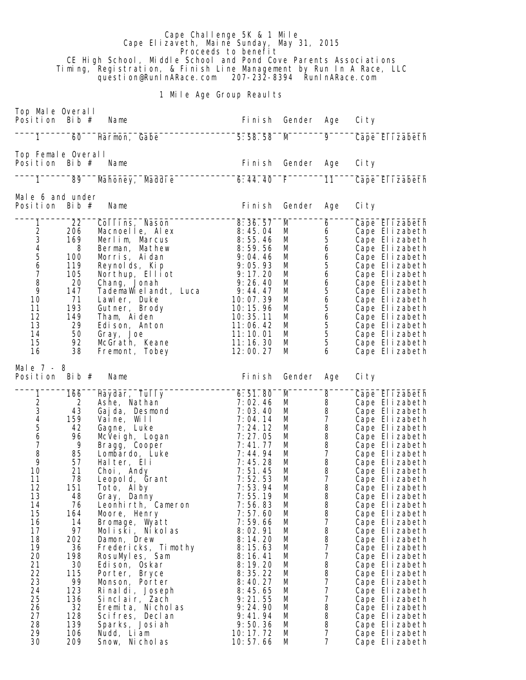Cape Challenge 5K & 1 Mile Cape Elizaveth, Maine Sunday, May 31, 2015 **Proceeds to benefit**  CE High School, Middle School and Pond Cove Parents Associations Timing, Registration, & Finish Line Management by Run In A Race, LLC question@RunInARace.com 207-232-8394 RunInARace.com

## 1 Mile Age Group Reaults

| Top Male Overall<br>Position Bib $#$                                                                                                                                                                                                                                                                                                                                                                                      | Name                                                                                                                                                                                                                                                                                                                                                                                                                                                                                                                                      | Fi ni sh                                                                                                                                                                                                                                                                                                                                  | Gender                                                                                                                                             | Age                                                                                                                                                                                                                                                                                                                                                                                                                                | Ci ty                                                                                                                                                                                                                                                                                                                                                                                                                                                                                                                                                    |
|---------------------------------------------------------------------------------------------------------------------------------------------------------------------------------------------------------------------------------------------------------------------------------------------------------------------------------------------------------------------------------------------------------------------------|-------------------------------------------------------------------------------------------------------------------------------------------------------------------------------------------------------------------------------------------------------------------------------------------------------------------------------------------------------------------------------------------------------------------------------------------------------------------------------------------------------------------------------------------|-------------------------------------------------------------------------------------------------------------------------------------------------------------------------------------------------------------------------------------------------------------------------------------------------------------------------------------------|----------------------------------------------------------------------------------------------------------------------------------------------------|------------------------------------------------------------------------------------------------------------------------------------------------------------------------------------------------------------------------------------------------------------------------------------------------------------------------------------------------------------------------------------------------------------------------------------|----------------------------------------------------------------------------------------------------------------------------------------------------------------------------------------------------------------------------------------------------------------------------------------------------------------------------------------------------------------------------------------------------------------------------------------------------------------------------------------------------------------------------------------------------------|
| 1<br>60                                                                                                                                                                                                                                                                                                                                                                                                                   | Harmon, Gabe                                                                                                                                                                                                                                                                                                                                                                                                                                                                                                                              | 5:58.58                                                                                                                                                                                                                                                                                                                                   | M                                                                                                                                                  | 9                                                                                                                                                                                                                                                                                                                                                                                                                                  | Cape Elizabeth                                                                                                                                                                                                                                                                                                                                                                                                                                                                                                                                           |
| Top Female Overall<br>Position Bib $#$                                                                                                                                                                                                                                                                                                                                                                                    | Name                                                                                                                                                                                                                                                                                                                                                                                                                                                                                                                                      | Fi ni sh                                                                                                                                                                                                                                                                                                                                  | Gender                                                                                                                                             | Age                                                                                                                                                                                                                                                                                                                                                                                                                                | Ci ty                                                                                                                                                                                                                                                                                                                                                                                                                                                                                                                                                    |
| 1<br>89                                                                                                                                                                                                                                                                                                                                                                                                                   | Mahoney, Maddie                                                                                                                                                                                                                                                                                                                                                                                                                                                                                                                           | 6: 44.40                                                                                                                                                                                                                                                                                                                                  | F.                                                                                                                                                 | 11                                                                                                                                                                                                                                                                                                                                                                                                                                 | Cape Elizabeth                                                                                                                                                                                                                                                                                                                                                                                                                                                                                                                                           |
| Male 6 and under<br>Position<br>Bib $#$                                                                                                                                                                                                                                                                                                                                                                                   | Name                                                                                                                                                                                                                                                                                                                                                                                                                                                                                                                                      | Fi ni sh                                                                                                                                                                                                                                                                                                                                  | Gender                                                                                                                                             | Age                                                                                                                                                                                                                                                                                                                                                                                                                                | Ci ty                                                                                                                                                                                                                                                                                                                                                                                                                                                                                                                                                    |
| 22<br>1<br>$\frac{2}{3}$<br>206<br>169<br>4<br>8<br>5<br>100<br>$\boldsymbol{6}$<br>119<br>$\overline{7}$<br>105<br>8<br>20<br>9<br>147<br>71<br>10<br>11<br>193<br>12<br>149<br>13<br>29<br>14<br>50<br>15<br>92<br>38<br>16                                                                                                                                                                                             | Collins, Nason<br>Macnoelle, Alex<br>Merlim, Marcus<br>Berman, Mathew<br>Morris, Aidan<br>Reynolds, Kip<br>Northup, Elliot<br>Chang, Jonah<br>TademaWielandt, Luca<br>Lawler, Duke<br>Gutner, Brody<br>Tham, Aiden<br>Edison, Anton<br>Gray, Joe<br>McGrath, Keane<br>Fremont, Tobey                                                                                                                                                                                                                                                      | 8:36.57<br>8:45.04<br>8:55.46<br>8:59.56<br>9:04.46<br>9:05.93<br>9:17.20<br>9:26.40<br>9:44.47<br>10:07.39<br>10:15.96<br>10:35.11<br>11:06.42<br>11:10.01<br>11:16.30<br>12:00.27                                                                                                                                                       | M<br>M<br>М<br>М<br>М<br>М<br>М<br>М<br>М<br>М<br>М<br>M<br>М<br>M<br>М<br>М                                                                       | 6<br>6<br>5<br>6<br>6<br>$\begin{array}{c} 5 \\ 6 \end{array}$<br>6<br>5<br>6<br>5<br>$\ddot{\mathbf{6}}$<br>$\frac{5}{5}$<br>5<br>6                                                                                                                                                                                                                                                                                               | Cape El izabeth<br>Cape Elizabeth<br>Cape Elizabeth<br>Cape Elizabeth<br>Cape Elizabeth<br>Cape Elizabeth<br>Cape Elizabeth<br>Cape Elizabeth<br>Cape Elizabeth<br>Cape Elizabeth<br>Cape Elizabeth<br>Cape Elizabeth<br>Cape Elizabeth<br>Cape Elizabeth<br>Cape Elizabeth<br>Cape Elizabeth                                                                                                                                                                                                                                                            |
| Male $7 - 8$<br>Bib $#$<br>Position                                                                                                                                                                                                                                                                                                                                                                                       | Name                                                                                                                                                                                                                                                                                                                                                                                                                                                                                                                                      | Fi ni sh                                                                                                                                                                                                                                                                                                                                  | Gender                                                                                                                                             | Age                                                                                                                                                                                                                                                                                                                                                                                                                                | Ci ty                                                                                                                                                                                                                                                                                                                                                                                                                                                                                                                                                    |
| $\overline{1}$<br>166<br>$\frac{2}{3}$<br>2<br>43<br>$\begin{array}{c} 4 \\ 5 \\ 6 \end{array}$<br>159<br>42<br>96<br>7<br>9<br>8<br>85<br>9<br>57<br>21<br>10<br>11<br>78<br>12<br>151<br>13<br>48<br>14<br>76<br>15<br>164<br>16<br>14<br>17<br>97<br>18<br>202<br>19<br>36<br>20<br>198<br>21<br>30<br>22<br>115<br>23<br>99<br>24<br>123<br>25<br>136<br>26<br>32<br>27<br>128<br>28<br>139<br>29<br>106<br>30<br>209 | Haydar, Tully<br>Ashe, Nathan<br>Gaj da, Desmond<br>Vaine, Will<br>Gagne, Luke<br>McVeigh, Logan<br>Bragg, Cooper<br>Lombardo, Luke<br>Halter, Eli<br>Choi, Andy<br>Leopold, Grant<br>Toto, Alby<br>Gray, Danny<br>Leonhirth, Cameron<br>Moore, Henry<br>Bromage, Wyatt<br>Moliski, Nikolas<br>Damon, Drew<br>Fredericks, Timothy<br>RosuMyles, Sam<br>Edi son, Oskar<br>Porter, Bryce<br>Monson, Porter<br>Rinaldi, Joseph<br>Sinclair, Zach<br>Eremita, Nicholas<br>Scifres, Declan<br>Sparks, Josiah<br>Nudd, Liam<br>Snow, Ni chol as | 6:51.80<br>7:02.46<br>7:03.40<br>7:04.14<br>7:24.12<br>7:27.05<br>7:41.77<br>7:44.94<br>7:45.28<br>7:51.45<br>7:52.53<br>7:53.94<br>7:55.19<br>7:56.83<br>7:57.60<br>7:59.66<br>8:02.91<br>8:14.20<br>8:15.63<br>8:16.41<br>8:19.20<br>8:35.22<br>8:40.27<br>8:45.65<br>9:21.55<br>9:24.90<br>9: 41.94<br>9:50.36<br>10:17.72<br>10:57.66 | M<br>М<br>М<br>М<br>М<br>М<br>M<br>M<br>M<br>M<br>М<br>М<br>M<br>M<br>M<br>M<br>М<br>М<br>M<br>М<br>М<br>M<br>М<br>М<br>M<br>M<br>M<br>M<br>M<br>М | 8<br>8<br>8<br>$\boldsymbol{7}$<br>$\begin{array}{c} 8 \\ 8 \end{array}$<br>$\begin{array}{c} 8 \\ 7 \end{array}$<br>$\, 8$<br>$\begin{array}{c} 8 \\ 7 \end{array}$<br>8<br>8<br>8<br>8<br>$\boldsymbol{7}$<br>8<br>$\begin{array}{c} 8 \\ 7 \end{array}$<br>$\boldsymbol{7}$<br>$\begin{array}{c} 8 \\ 8 \end{array}$<br>$\overline{7}$<br>$\overline{7}$<br>$\boldsymbol{7}$<br>8<br>8<br>8<br>$\overline{7}$<br>$\overline{7}$ | Cape Elizabeth<br>Cape Elizabeth<br>Cape Elizabeth<br>Cape Elizabeth<br>Cape Elizabeth<br>Cape Elizabeth<br>Cape Elizabeth<br>Cape Elizabeth<br>Cape Elizabeth<br>Cape Elizabeth<br>Cape Elizabeth<br>Cape Elizabeth<br>Cape Elizabeth<br>Cape Elizabeth<br>Cape Elizabeth<br>Cape Elizabeth<br>Cape Elizabeth<br>Cape Elizabeth<br>Cape Elizabeth<br>Cape Elizabeth<br>Cape Elizabeth<br>Cape Elizabeth<br>Cape Elizabeth<br>Cape Elizabeth<br>Cape Elizabeth<br>Cape Elizabeth<br>Cape Elizabeth<br>Cape Elizabeth<br>Cape Elizabeth<br>Cape Elizabeth |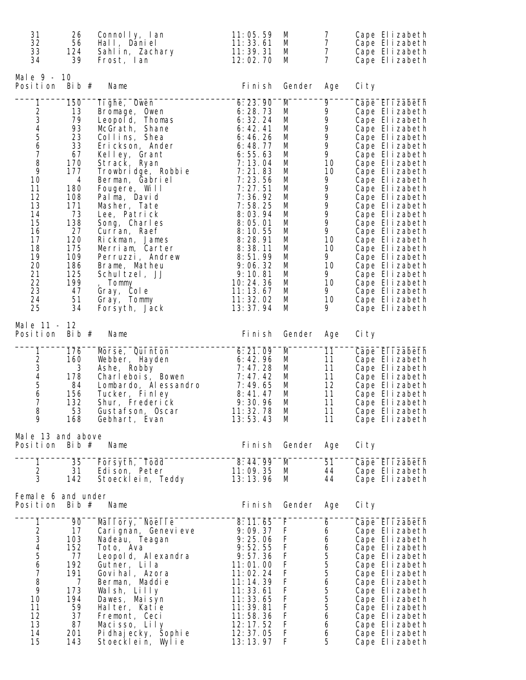| 31<br>26<br>32<br>56<br>33<br>124<br>34<br>39                                                                                                                                                                                                                                           | Connolly, Ian<br>Hall, Daniel<br>Sahlin, Zachary<br>Frost, lan                                                                                                                                                                                                                                                                                                                                                                      | 11:05.59<br>11:33.61<br>11:39.31<br>12:02.70                                                                                                                                                                                                                                         | M<br>M<br>М<br>M                                                                                                          | $\overline{7}$<br>$\overline{7}$<br>$\overline{7}$<br>$\overline{7}$                                                              | Cape Elizabeth<br>Cape Elizabeth<br>Cape Elizabeth<br>Cape Elizabeth                                                                                                                                                                                                                                                                                                                                                                                           |
|-----------------------------------------------------------------------------------------------------------------------------------------------------------------------------------------------------------------------------------------------------------------------------------------|-------------------------------------------------------------------------------------------------------------------------------------------------------------------------------------------------------------------------------------------------------------------------------------------------------------------------------------------------------------------------------------------------------------------------------------|--------------------------------------------------------------------------------------------------------------------------------------------------------------------------------------------------------------------------------------------------------------------------------------|---------------------------------------------------------------------------------------------------------------------------|-----------------------------------------------------------------------------------------------------------------------------------|----------------------------------------------------------------------------------------------------------------------------------------------------------------------------------------------------------------------------------------------------------------------------------------------------------------------------------------------------------------------------------------------------------------------------------------------------------------|
| Male 9 - 10<br>Position<br>Bib $#$                                                                                                                                                                                                                                                      | Name                                                                                                                                                                                                                                                                                                                                                                                                                                | Fi ni sh                                                                                                                                                                                                                                                                             | Gender                                                                                                                    | Age                                                                                                                               | Ci ty                                                                                                                                                                                                                                                                                                                                                                                                                                                          |
| 1<br>150<br>234567<br>13<br>79<br>93<br>23<br>33<br>67<br>8<br>170<br>9<br>177<br>10<br>4<br>180<br>11<br>12<br>108<br>13<br>171<br>73<br>14<br>138<br>15<br>27<br>16<br>17<br>120<br>18<br>175<br>109<br>19<br>20<br>186<br>21<br>125<br>22<br>199<br>23<br>47<br>24<br>51<br>25<br>34 | Tighe, Owen<br>Bromage, Owen<br>Leopold, Thomas<br>McGrath, Shane<br>Collins, Shea<br>Erickson, Ander<br>Kelley, Grant<br>Strack, Ryan<br>Trowbridge, Robbie<br>Berman, Gabriel<br>Fougere, Will<br>Palma, David<br>Masher, Tate<br>Lee, Patrick<br>Song, Charles<br>Curran, Raef<br>Rickman, James<br>Merriam, Carter<br>Perruzzi, Andrew<br>Brame, Matheu<br>Schultzel, JJ<br>Tommy<br>Gray, Cole<br>Gray, Tommy<br>Forsyth, Jack | 6:23.90<br>6:28.73<br>6:32.24<br>6: 42.41<br>6:46.26<br>6:48.77<br>6:55.63<br>7:13.04<br>7:21.83<br>7:23.56<br>7:27.51<br>7:36.92<br>7:58.25<br>8:03.94<br>8:05.01<br>8:10.55<br>8:28.91<br>8:38.11<br>8:51.99<br>9:06.32<br>9:10.81<br>10:24.36<br>11:13.67<br>11:32.02<br>13:37.94 | M<br>M<br>M<br>M<br>М<br>M<br>M<br>М<br>M<br>М<br>М<br>М<br>M<br>М<br>М<br>М<br>М<br>М<br>M<br>М<br>М<br>M<br>M<br>M<br>M | 9<br>9<br>9<br>9<br>9<br>9<br>9<br>10<br>10<br>9<br>9<br>9<br>9<br>9<br>9<br>9<br>10<br>10<br>9<br>10<br>9<br>10<br>9<br>10<br>9. | Cape Elizabeth<br>Cape Elizabeth<br>Cape Elizabeth<br>Cape Elizabeth<br>Cape Elizabeth<br>Cape Elizabeth<br>Cape Elizabeth<br>Cape Elizabeth<br>Cape Elizabeth<br>Cape Elizabeth<br>Cape Elizabeth<br>Cape Elizabeth<br>Cape Elizabeth<br>Cape Elizabeth<br>Cape Elizabeth<br>Cape Elizabeth<br>Cape Elizabeth<br>Cape Elizabeth<br>Cape Elizabeth<br>Cape Elizabeth<br>Cape Elizabeth<br>Cape Elizabeth<br>Cape Elizabeth<br>Cape Elizabeth<br>Cape Elizabeth |
| Male 11 - 12<br>Bib $#$<br>Position                                                                                                                                                                                                                                                     | Name                                                                                                                                                                                                                                                                                                                                                                                                                                | Fi ni sh                                                                                                                                                                                                                                                                             | Gender                                                                                                                    | Age                                                                                                                               | Ci ty                                                                                                                                                                                                                                                                                                                                                                                                                                                          |
| 1<br>176<br>234567<br>160<br>3<br>178<br>84<br>156<br>132<br>8<br>53<br>9<br>168                                                                                                                                                                                                        | Morse, Quinton<br>Webber, Hayden<br>Ashe, Robby<br>Charlebois, Bowen<br>Lombardo, Alessandro<br>Tucker, Finley<br>Shur, Frederick<br>Gustafson, Oscar<br>Gebhart, Evan                                                                                                                                                                                                                                                              | 6: 21.09<br>6: 42.96<br>7:47.28<br>7:47.42<br>7:49.65<br>8: 41.47<br>9:30.96<br>11:32.78<br>13:53.43                                                                                                                                                                                 | M<br>M<br>М<br>М<br>M<br>M<br>M<br>M<br>M                                                                                 | 11<br>11<br>11<br>11<br>12<br>11<br>11<br>11<br>11                                                                                | Cape Elizabeth<br>Cape Elizabeth<br>Cape Elizabeth<br>Cape Elizabeth<br>Cape Elizabeth<br>Cape Elizabeth<br>Cape Elizabeth<br>Cape Elizabeth<br>Cape Elizabeth                                                                                                                                                                                                                                                                                                 |
| Male 13 and above<br>Position<br>Bib $#$                                                                                                                                                                                                                                                | Name                                                                                                                                                                                                                                                                                                                                                                                                                                | Fi ni sh                                                                                                                                                                                                                                                                             | Gender                                                                                                                    | Age                                                                                                                               | Ci ty                                                                                                                                                                                                                                                                                                                                                                                                                                                          |
| 1<br>35<br>$\frac{2}{3}$<br>31<br>142                                                                                                                                                                                                                                                   | Forsyth, Todd<br>Edison, Peter<br>Stoecklein, Teddy                                                                                                                                                                                                                                                                                                                                                                                 | 8:44.99<br>11:09.35<br>13:13.96                                                                                                                                                                                                                                                      | M<br>M<br>M                                                                                                               | 51<br>44<br>44                                                                                                                    | Cape Elizabeth<br>Cape Elizabeth<br>Cape Elizabeth                                                                                                                                                                                                                                                                                                                                                                                                             |
| Female 6 and under<br>Position<br>Bib $#$                                                                                                                                                                                                                                               | Name                                                                                                                                                                                                                                                                                                                                                                                                                                | Fi ni sh                                                                                                                                                                                                                                                                             | Gender                                                                                                                    | Age                                                                                                                               | Ci ty                                                                                                                                                                                                                                                                                                                                                                                                                                                          |
| $\mathbf{1}$<br>90<br>234567<br>17<br>103<br>152<br>77<br>192<br>191<br>8<br>$\overline{7}$<br>9<br>173<br>194<br>10<br>11<br>59<br>12<br>37<br>13<br>87<br>14<br>201<br>15<br>143                                                                                                      | Mallory, Noelle<br>Cari gnan, Genevi eve<br>Nadeau, Teagan<br>Toto, Ava<br>Leopold, Alexandra<br>Gutner, Lila<br>Govihal, Azora<br>Berman, Maddie<br>Walsh, Lilly<br>Dawes, Maisyn<br>Halter, Katie<br>Fremont, Ceci<br>Macisso, Lily<br>Pi dhaj ecky, Šophi e<br>Stoecklein, Wylie                                                                                                                                                 | 8:11.65<br>9:09.37<br>9:25.06<br>9:52.55<br>9:57.36<br>11:01.00<br>11:02.24<br>11:14.39<br>11:33.61<br>11:33.65<br>11:39.81<br>11:58.36<br>12: 17. 52<br>12: 37.05<br>13:13.97                                                                                                       | F<br>F<br>F<br>F<br>F<br>F<br>F<br>F<br>F<br>F<br>F<br>F<br>F<br>F<br>F                                                   | 6<br>6<br>6<br>6<br>5556<br>5<br>5<br>5<br>$\boldsymbol{6}$<br>6<br>6<br>5                                                        | Cape Elizabeth<br>Cape Elizabeth<br>Cape Elizabeth<br>Cape Elizabeth<br>Cape Elizabeth<br>Cape Elizabeth<br>Cape Elizabeth<br>Cape Elizabeth<br>Cape Elizabeth<br>Cape Elizabeth<br>Cape Elizabeth<br>Cape Elizabeth<br>Cape Elizabeth<br>Cape Elizabeth<br>Cape Elizabeth                                                                                                                                                                                     |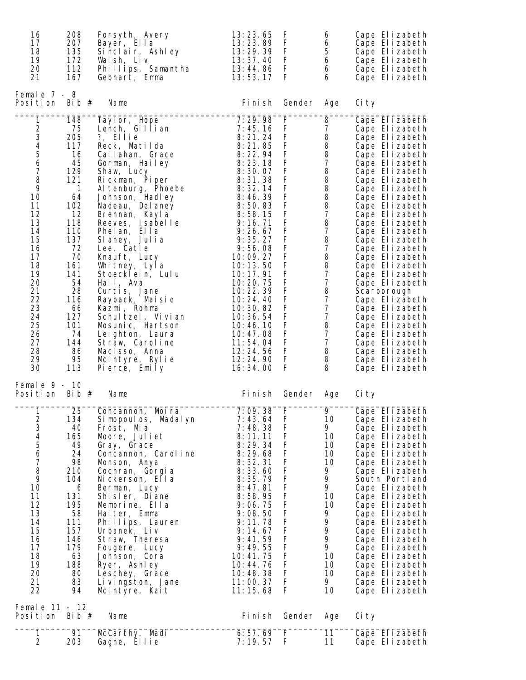| 16<br>17<br>18<br>19<br>20<br>21                                                                                                                                                                                                                              | 208<br>207<br>135<br>172<br>112<br>167                                                                                                                                                                       | Forsyth, Avery<br>Bayer, Ella<br>Sinclair, Ashley<br>Walsh, Liv<br>Phillips, Samantha<br>Gebhart, Emma                                                                                                                                                                                                                                                                                                                                                                                                                                       | 13:23.65<br>13:23.89<br>13:29.39<br>13:37.40<br>13:44.86<br>13:53.17                                                                                                                                                                                                                                                                                 | F<br>F<br>F<br>F<br>F<br>F                                                                                                                                                                 | 6<br>6<br>5<br>$\boldsymbol{6}$<br>6<br>6                                                                                                                                                                                                                                                                                                                                                                     | Cape Elizabeth<br>Cape Elizabeth<br>Cape Elizabeth<br>Cape Elizabeth<br>Cape Elizabeth<br>Cape Elizabeth                                                                                                                                                                                                                                                                                                                                                                                                                                              |
|---------------------------------------------------------------------------------------------------------------------------------------------------------------------------------------------------------------------------------------------------------------|--------------------------------------------------------------------------------------------------------------------------------------------------------------------------------------------------------------|----------------------------------------------------------------------------------------------------------------------------------------------------------------------------------------------------------------------------------------------------------------------------------------------------------------------------------------------------------------------------------------------------------------------------------------------------------------------------------------------------------------------------------------------|------------------------------------------------------------------------------------------------------------------------------------------------------------------------------------------------------------------------------------------------------------------------------------------------------------------------------------------------------|--------------------------------------------------------------------------------------------------------------------------------------------------------------------------------------------|---------------------------------------------------------------------------------------------------------------------------------------------------------------------------------------------------------------------------------------------------------------------------------------------------------------------------------------------------------------------------------------------------------------|-------------------------------------------------------------------------------------------------------------------------------------------------------------------------------------------------------------------------------------------------------------------------------------------------------------------------------------------------------------------------------------------------------------------------------------------------------------------------------------------------------------------------------------------------------|
| Female $7 - 8$<br>Position                                                                                                                                                                                                                                    | Bib $#$                                                                                                                                                                                                      | Name                                                                                                                                                                                                                                                                                                                                                                                                                                                                                                                                         | Fi ni sh                                                                                                                                                                                                                                                                                                                                             | Gender                                                                                                                                                                                     | Age                                                                                                                                                                                                                                                                                                                                                                                                           | Ci ty                                                                                                                                                                                                                                                                                                                                                                                                                                                                                                                                                 |
| $\mathbf{1}$<br>$\begin{array}{c} 2 \\ 3 \\ 4 \end{array}$<br>$\begin{array}{c} 5 \\ 6 \end{array}$<br>$\overline{7}$<br>8<br>9<br>10<br>11<br>12<br>13<br>14<br>15<br>16<br>17<br>18<br>19<br>20<br>21<br>22<br>23<br>24<br>25<br>26<br>27<br>28<br>29<br>30 | 148<br>75<br>205<br>117<br>16<br>45<br>129<br>121<br>$\overline{1}$<br>64<br>102<br>12<br>118<br>110<br>137<br>72<br>70<br>161<br>141<br>54<br>28<br>116<br>66<br>127<br>101<br>74<br>144<br>86<br>95<br>113 | Tayl or, Hope<br>Lench, Gillian<br>?, Ellie<br>Reck, Matilda<br>Callahan, Grace<br>Gorman, Hailey<br>Shaw, Lucy<br>Rickman, Piper<br>Al tenburg, Phoebe<br>Johnson, Hadley<br>Nadeau, Del aney<br>Brennan, Kayla<br>Reeves, Isabelle<br>Phelan, Ella<br>Slaney, Julia<br>Lee, Catie<br>Knauft, Lucy<br>Whitney, Lyla<br>Stoecklein, Lulu<br>Hall, Ava<br>Curtis, Jane<br>Rayback, Maisie<br>Kazmi, Rohma<br>Schultzel, Vivian<br>Mosunic, Hartson<br>Leighton, Laura<br>Straw, Caroline<br>Macisso, Anna<br>McIntyre, Rylie<br>Pierce, Emily | 7:29.98<br>7:45.16<br>8:21.24<br>8:21.85<br>8:22.94<br>8:23.18<br>8:30.07<br>8:31.38<br>8:32.14<br>8:46.39<br>8:50.83<br>8:58.15<br>9:16.71<br>9:26.67<br>9:35.27<br>9:56.08<br>10:09.27<br>10:13.50<br>10:17.91<br>10:20.75<br>10:22.39<br>10:24.40<br>10:30.82<br>10:36.54<br>10:46.10<br>10:47.08<br>11:54.04<br>12:24.56<br>12:24.90<br>16:34.00 | F<br>F<br>F<br>F<br>F<br>$\mathsf F$<br>F<br>F<br>$\mathsf F$<br>F<br>F<br>$\mathsf F$<br>F<br>F<br>$\mathsf F$<br>F<br>F<br>F<br>F<br>F<br>F<br>F<br>F<br>F<br>F<br>F<br>F<br>F<br>F<br>F | 8<br>7<br>8<br>$\begin{array}{c} 8 \\ 8 \\ 7 \end{array}$<br>8<br>8<br>8<br>$\begin{array}{c} 8 \\ 8 \\ 7 \end{array}$<br>8<br>$\overline{7}$<br>$\, 8$<br>$\boldsymbol{7}$<br>$\begin{array}{c} 8 \\ 8 \end{array}$<br>$\boldsymbol{7}$<br>$\overline{7}$<br>$\begin{array}{c} 8 \\ 7 \end{array}$<br>$\overline{\mathcal{I}}$<br>$\boldsymbol{7}$<br>8<br>$\overline{7}$<br>$\boldsymbol{7}$<br>8<br>8<br>8 | Cape Elizabeth<br>Cape Elizabeth<br>Cape Elizabeth<br>Cape Elizabeth<br>Cape Elizabeth<br>Cape Elizabeth<br>Cape Elizabeth<br>Cape Elizabeth<br>Cape Elizabeth<br>Cape Elizabeth<br>Cape Elizabeth<br>Cape Elizabeth<br>Cape Elizabeth<br>Cape Elizabeth<br>Cape Elizabeth<br>Cape Elizabeth<br>Cape Elizabeth<br>Cape Elizabeth<br>Cape Elizabeth<br>Cape Elizabeth<br>Scarborough<br>Cape Elizabeth<br>Cape Elizabeth<br>Cape Elizabeth<br>Cape Elizabeth<br>Cape Elizabeth<br>Cape Elizabeth<br>Cape Elizabeth<br>Cape Elizabeth<br>Cape Elizabeth |
| Female $9 - 10$<br>Position Bib $#$                                                                                                                                                                                                                           |                                                                                                                                                                                                              | Name                                                                                                                                                                                                                                                                                                                                                                                                                                                                                                                                         | Fi ni sh                                                                                                                                                                                                                                                                                                                                             | Gender                                                                                                                                                                                     | Age                                                                                                                                                                                                                                                                                                                                                                                                           | Ci ty                                                                                                                                                                                                                                                                                                                                                                                                                                                                                                                                                 |
| 1<br>$\frac{2}{3}$<br>$\pmb{4}$<br>5<br>6<br>7<br>8<br>9<br>10<br>11<br>12<br>13<br>14<br>15<br>16<br>17<br>18<br>19<br>20<br>21<br>22<br>Female 11 - 12                                                                                                      | 25<br>134<br>40<br>165<br>49<br>24<br>98<br>210<br>104<br>6<br>131<br>195<br>58<br>111<br>157<br>146<br>179<br>63<br>188<br>80<br>83<br>94                                                                   | Moi ra<br>Concannon,<br>Si mopoul os, Madal yn<br>Frost, Mia<br>Moore, Juliet<br>Gray, Grace<br>Concannon, Carol ine<br>Monson, Anya<br>Cochran, Gorgia<br>Nickerson, Ella<br>Berman, Lucy<br>Shisler, Diane<br>Membrine, Ella<br>Halter, Emma<br>Phillips, Lauren<br>Urbanek, Liv<br>Straw, Theresa<br>Fougere, Lucy<br>Johnson, Cora<br>Ryer, Ashley<br>Leschey, Grace<br>Livingston, Jane<br>McIntyre, Kait                                                                                                                               | 7:09.38<br>7:43.64<br>7:48.38<br>8:11.11<br>8:29.34<br>8:29.68<br>8:32.31<br>8:33.60<br>8:35.79<br>8:47.81<br>8:58.95<br>9:06.75<br>9:08.50<br>9:11.78<br>9:14.67<br>9:41.59<br>9:49.55<br>10:41.75<br>10:44.76<br>10:48.38<br>11:00.37<br>11:15.68                                                                                                  | F<br>F<br>F<br>F<br>F<br>F<br>F<br>F<br>F<br>$\mathsf F$<br>F<br>F<br>F<br>F<br>F<br>F<br>F<br>F<br>F<br>F<br>F<br>F                                                                       | 9<br>10<br>9<br>10<br>10<br>10<br>10<br>9<br>9<br>9<br>10<br>10<br>9<br>9<br>9<br>9<br>9<br>10<br>10<br>10<br>9.<br>10                                                                                                                                                                                                                                                                                        | Cape El izabeth<br>Cape Elizabeth<br>Cape Elizabeth<br>Cape Elizabeth<br>Cape Elizabeth<br>Cape Elizabeth<br>Cape Elizabeth<br>Cape Elizabeth<br>South Portl and<br>Cape Elizabeth<br>Cape Elizabeth<br>Cape Elizabeth<br>Cape Elizabeth<br>Cape Elizabeth<br>Cape Elizabeth<br>Cape Elizabeth<br>Cape Elizabeth<br>Cape Elizabeth<br>Cape Elizabeth<br>Cape Elizabeth<br>Cape Elizabeth<br>Cape Elizabeth                                                                                                                                            |
| Position                                                                                                                                                                                                                                                      | Bib $#$                                                                                                                                                                                                      | Name                                                                                                                                                                                                                                                                                                                                                                                                                                                                                                                                         | Fi ni sh                                                                                                                                                                                                                                                                                                                                             | Gender                                                                                                                                                                                     | Age                                                                                                                                                                                                                                                                                                                                                                                                           | Ci ty                                                                                                                                                                                                                                                                                                                                                                                                                                                                                                                                                 |
| 1<br>$\overline{2}$                                                                                                                                                                                                                                           | 91<br>203                                                                                                                                                                                                    | McCarthy, Madi<br>Gagne, Ellie                                                                                                                                                                                                                                                                                                                                                                                                                                                                                                               | 6:57.69<br>7:19.57                                                                                                                                                                                                                                                                                                                                   | F<br>F                                                                                                                                                                                     | 11<br>11                                                                                                                                                                                                                                                                                                                                                                                                      | Cape Elizabeth<br>Cape Elizabeth                                                                                                                                                                                                                                                                                                                                                                                                                                                                                                                      |